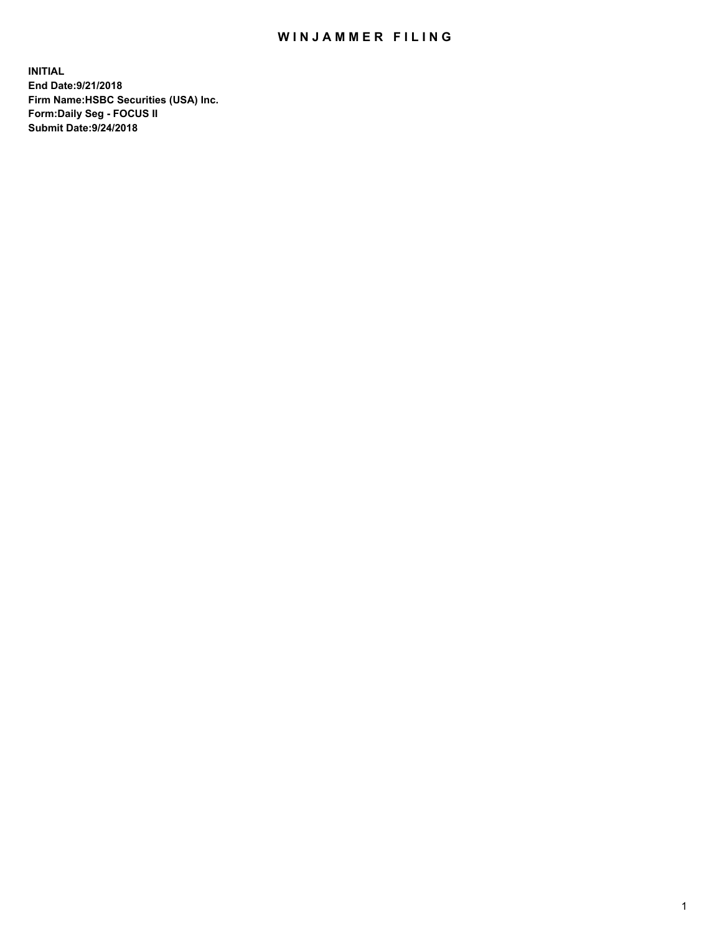## WIN JAMMER FILING

**INITIAL End Date:9/21/2018 Firm Name:HSBC Securities (USA) Inc. Form:Daily Seg - FOCUS II Submit Date:9/24/2018**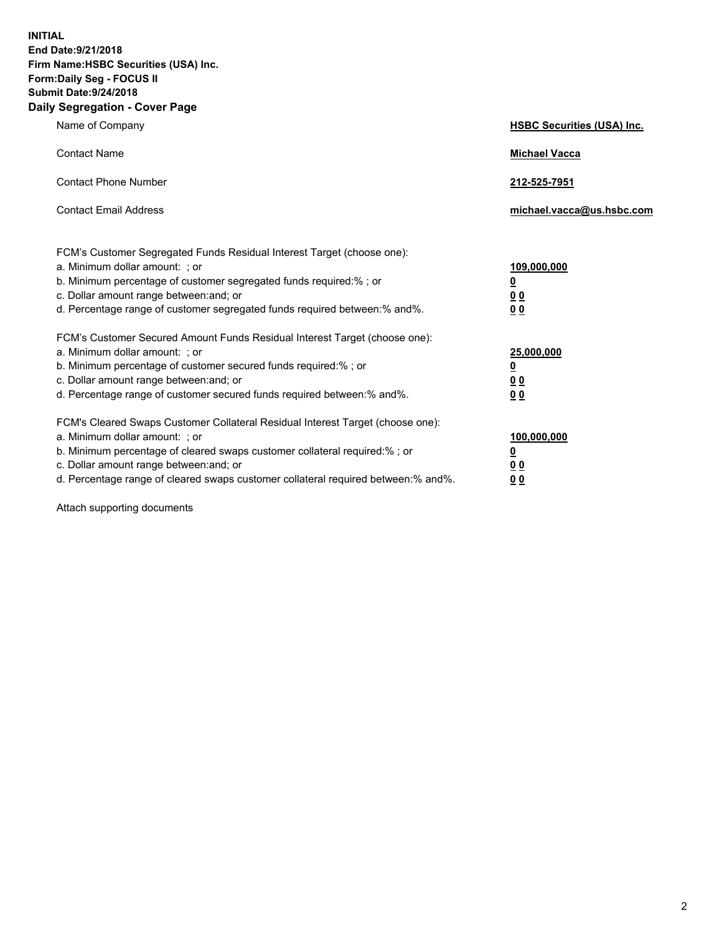**INITIAL End Date:9/21/2018 Firm Name:HSBC Securities (USA) Inc. Form:Daily Seg - FOCUS II Submit Date:9/24/2018 Daily Segregation - Cover Page**

| Name of Company                                                                                                                                                                                                                                                                                                                | <b>HSBC Securities (USA) Inc.</b>                                          |
|--------------------------------------------------------------------------------------------------------------------------------------------------------------------------------------------------------------------------------------------------------------------------------------------------------------------------------|----------------------------------------------------------------------------|
| <b>Contact Name</b>                                                                                                                                                                                                                                                                                                            | <b>Michael Vacca</b>                                                       |
| <b>Contact Phone Number</b>                                                                                                                                                                                                                                                                                                    | 212-525-7951                                                               |
| <b>Contact Email Address</b>                                                                                                                                                                                                                                                                                                   | michael.vacca@us.hsbc.com                                                  |
| FCM's Customer Segregated Funds Residual Interest Target (choose one):<br>a. Minimum dollar amount: : or<br>b. Minimum percentage of customer segregated funds required:% ; or<br>c. Dollar amount range between: and; or<br>d. Percentage range of customer segregated funds required between:% and%.                         | 109,000,000<br>$\overline{\mathbf{0}}$<br>0 <sub>0</sub><br>0 <sub>0</sub> |
| FCM's Customer Secured Amount Funds Residual Interest Target (choose one):<br>a. Minimum dollar amount: ; or<br>b. Minimum percentage of customer secured funds required:%; or<br>c. Dollar amount range between: and; or<br>d. Percentage range of customer secured funds required between:% and%.                            | 25,000,000<br>$\overline{\mathbf{0}}$<br>0 <sub>0</sub><br>0 <sub>0</sub>  |
| FCM's Cleared Swaps Customer Collateral Residual Interest Target (choose one):<br>a. Minimum dollar amount: ; or<br>b. Minimum percentage of cleared swaps customer collateral required:% ; or<br>c. Dollar amount range between: and; or<br>d. Percentage range of cleared swaps customer collateral required between:% and%. | 100,000,000<br>$\overline{\mathbf{0}}$<br>0 <sub>0</sub><br>0 <sub>0</sub> |

Attach supporting documents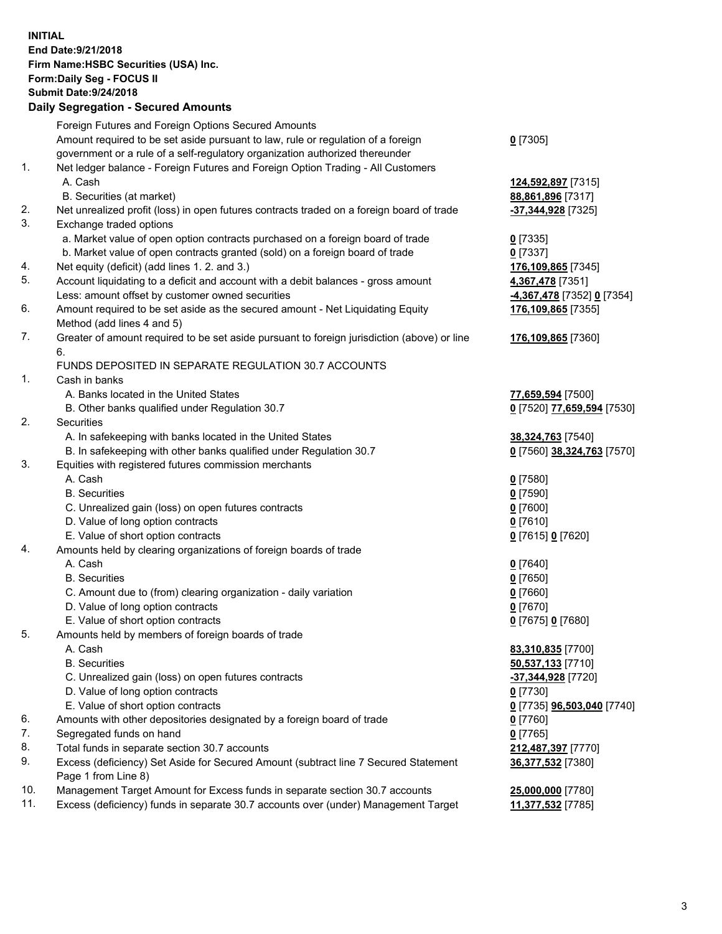**INITIAL End Date:9/21/2018 Firm Name:HSBC Securities (USA) Inc. Form:Daily Seg - FOCUS II Submit Date:9/24/2018 Daily Segregation - Secured Amounts**

## Foreign Futures and Foreign Options Secured Amounts Amount required to be set aside pursuant to law, rule or regulation of a foreign government or a rule of a self-regulatory organization authorized thereunder

## 1. Net ledger balance - Foreign Futures and Foreign Option Trading - All Customers A. Cash **124,592,897** [7315]

- B. Securities (at market) **88,861,896** [7317]
- 2. Net unrealized profit (loss) in open futures contracts traded on a foreign board of trade **-37,344,928** [7325]
- 3. Exchange traded options
	- a. Market value of open option contracts purchased on a foreign board of trade **0** [7335]
	- b. Market value of open contracts granted (sold) on a foreign board of trade **0** [7337]
- 4. Net equity (deficit) (add lines 1. 2. and 3.) **176,109,865** [7345]
- 5. Account liquidating to a deficit and account with a debit balances gross amount **4,367,478** [7351] Less: amount offset by customer owned securities **-4,367,478** [7352] **0** [7354]
- 6. Amount required to be set aside as the secured amount Net Liquidating Equity Method (add lines 4 and 5)
- 7. Greater of amount required to be set aside pursuant to foreign jurisdiction (above) or line 6.

## FUNDS DEPOSITED IN SEPARATE REGULATION 30.7 ACCOUNTS

- 1. Cash in banks
	- A. Banks located in the United States **77,659,594** [7500]
	- B. Other banks qualified under Regulation 30.7 **0** [7520] **77,659,594** [7530]
- 2. Securities
	- A. In safekeeping with banks located in the United States **38,324,763** [7540]
	- B. In safekeeping with other banks qualified under Regulation 30.7 **0** [7560] **38,324,763** [7570]
- 3. Equities with registered futures commission merchants
	- A. Cash **0** [7580]
	- B. Securities **0** [7590]
	- C. Unrealized gain (loss) on open futures contracts **0** [7600]
	- D. Value of long option contracts **0** [7610]
	- E. Value of short option contracts **0** [7615] **0** [7620]
- 4. Amounts held by clearing organizations of foreign boards of trade
	- A. Cash **0** [7640]
	- B. Securities **0** [7650]
	- C. Amount due to (from) clearing organization daily variation **0** [7660]
	- D. Value of long option contracts **0** [7670]
	- E. Value of short option contracts **0** [7675] **0** [7680]
- 5. Amounts held by members of foreign boards of trade
	-
	-
	- C. Unrealized gain (loss) on open futures contracts **-37,344,928** [7720]
	- D. Value of long option contracts **0** [7730]
	- E. Value of short option contracts **0** [7735] **96,503,040** [7740]
- 6. Amounts with other depositories designated by a foreign board of trade **0** [7760]
- 7. Segregated funds on hand **0** [7765]
- 8. Total funds in separate section 30.7 accounts **212,487,397** [7770]
- 9. Excess (deficiency) Set Aside for Secured Amount (subtract line 7 Secured Statement Page 1 from Line 8)
- 10. Management Target Amount for Excess funds in separate section 30.7 accounts **25,000,000** [7780]
- 11. Excess (deficiency) funds in separate 30.7 accounts over (under) Management Target **11,377,532** [7785]

**176,109,865** [7360]

**176,109,865** [7355]

 A. Cash **83,310,835** [7700] B. Securities **50,537,133** [7710] **36,377,532** [7380]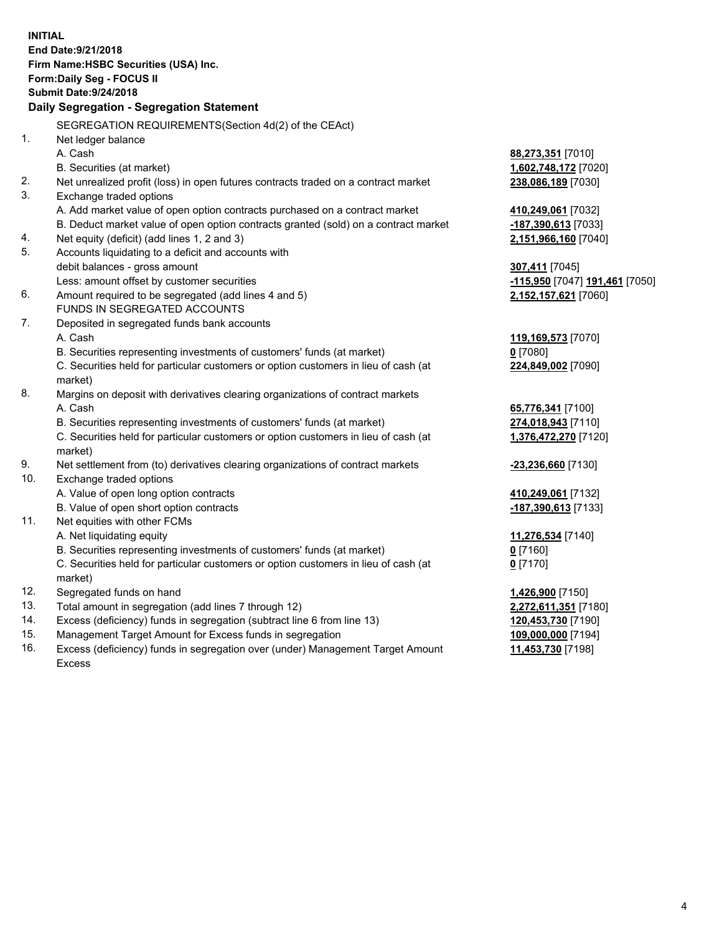**INITIAL End Date:9/21/2018 Firm Name:HSBC Securities (USA) Inc. Form:Daily Seg - FOCUS II Submit Date:9/24/2018 Daily Segregation - Segregation Statement** SEGREGATION REQUIREMENTS(Section 4d(2) of the CEAct) 1. Net ledger balance A. Cash **88,273,351** [7010] B. Securities (at market) **1,602,748,172** [7020] 2. Net unrealized profit (loss) in open futures contracts traded on a contract market **238,086,189** [7030] 3. Exchange traded options A. Add market value of open option contracts purchased on a contract market **410,249,061** [7032] B. Deduct market value of open option contracts granted (sold) on a contract market **-187,390,613** [7033] 4. Net equity (deficit) (add lines 1, 2 and 3) **2,151,966,160** [7040] 5. Accounts liquidating to a deficit and accounts with debit balances - gross amount **307,411** [7045] Less: amount offset by customer securities **-115,950** [7047] **191,461** [7050] 6. Amount required to be segregated (add lines 4 and 5) **2,152,157,621** [7060] FUNDS IN SEGREGATED ACCOUNTS 7. Deposited in segregated funds bank accounts A. Cash **119,169,573** [7070] B. Securities representing investments of customers' funds (at market) **0** [7080] C. Securities held for particular customers or option customers in lieu of cash (at market) **224,849,002** [7090] 8. Margins on deposit with derivatives clearing organizations of contract markets A. Cash **65,776,341** [7100] B. Securities representing investments of customers' funds (at market) **274,018,943** [7110] C. Securities held for particular customers or option customers in lieu of cash (at market) **1,376,472,270** [7120] 9. Net settlement from (to) derivatives clearing organizations of contract markets **-23,236,660** [7130] 10. Exchange traded options A. Value of open long option contracts **410,249,061** [7132] B. Value of open short option contracts **-187,390,613** [7133] 11. Net equities with other FCMs A. Net liquidating equity **11,276,534** [7140] B. Securities representing investments of customers' funds (at market) **0** [7160] C. Securities held for particular customers or option customers in lieu of cash (at market) **0** [7170] 12. Segregated funds on hand **1,426,900** [7150] 13. Total amount in segregation (add lines 7 through 12) **2,272,611,351** [7180] 14. Excess (deficiency) funds in segregation (subtract line 6 from line 13) **120,453,730** [7190] 15. Management Target Amount for Excess funds in segregation **109,000,000** [7194] 16. Excess (deficiency) funds in segregation over (under) Management Target Amount **11,453,730** [7198]

Excess